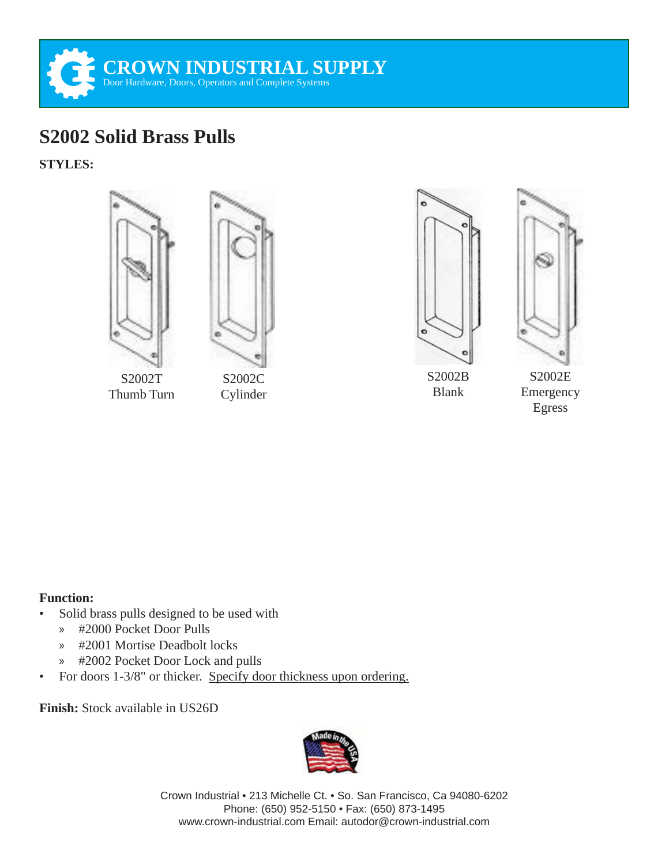

## **S2002 Solid Brass Pulls**

**STYLES:**



Thumb Turn

Cylinder



S2002B Blank

S2002E

## Emergency Egress

## **Function:**

- Solid brass pulls designed to be used with
	- » #2000 Pocket Door Pulls
	- » #2001 Mortise Deadbolt locks
	- » #2002 Pocket Door Lock and pulls
- For doors 1-3/8" or thicker. Specify door thickness upon ordering.

**Finish:** Stock available in US26D



Crown Industrial • 213 Michelle Ct. • So. San Francisco, Ca 94080-6202 Phone: (650) 952-5150 • Fax: (650) 873-1495 www.crown-industrial.com Email: autodor@crown-industrial.com